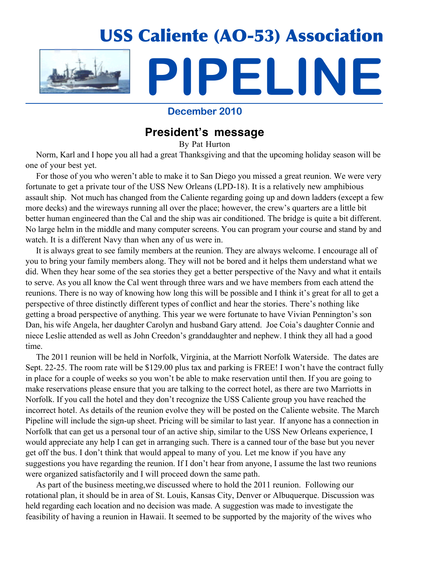

**December 2010**

## **President's message**

By Pat Hurton

 Norm, Karl and I hope you all had a great Thanksgiving and that the upcoming holiday season will be one of your best yet.

 For those of you who weren't able to make it to San Diego you missed a great reunion. We were very fortunate to get a private tour of the USS New Orleans (LPD-18). It is a relatively new amphibious assault ship. Not much has changed from the Caliente regarding going up and down ladders (except a few more decks) and the wireways running all over the place; however, the crew's quarters are a little bit better human engineered than the Cal and the ship was air conditioned. The bridge is quite a bit different. No large helm in the middle and many computer screens. You can program your course and stand by and watch. It is a different Navy than when any of us were in.

 It is always great to see family members at the reunion. They are always welcome. I encourage all of you to bring your family members along. They will not be bored and it helps them understand what we did. When they hear some of the sea stories they get a better perspective of the Navy and what it entails to serve. As you all know the Cal went through three wars and we have members from each attend the reunions. There is no way of knowing how long this will be possible and I think it's great for all to get a perspective of three distinctly different types of conflict and hear the stories. There's nothing like getting a broad perspective of anything. This year we were fortunate to have Vivian Pennington's son Dan, his wife Angela, her daughter Carolyn and husband Gary attend. Joe Coia's daughter Connie and niece Leslie attended as well as John Creedon's granddaughter and nephew. I think they all had a good time.

 The 2011 reunion will be held in Norfolk, Virginia, at the Marriott Norfolk Waterside. The dates are Sept. 22-25. The room rate will be \$129.00 plus tax and parking is FREE! I won't have the contract fully in place for a couple of weeks so you won't be able to make reservation until then. If you are going to make reservations please ensure that you are talking to the correct hotel, as there are two Marriotts in Norfolk. If you call the hotel and they don't recognize the USS Caliente group you have reached the incorrect hotel. As details of the reunion evolve they will be posted on the Caliente website. The March Pipeline will include the sign-up sheet. Pricing will be similar to last year. If anyone has a connection in Norfolk that can get us a personal tour of an active ship, similar to the USS New Orleans experience, I would appreciate any help I can get in arranging such. There is a canned tour of the base but you never get off the bus. I don't think that would appeal to many of you. Let me know if you have any suggestions you have regarding the reunion. If I don't hear from anyone, I assume the last two reunions were organized satisfactorily and I will proceed down the same path.

 As part of the business meeting,we discussed where to hold the 2011 reunion. Following our rotational plan, it should be in area of St. Louis, Kansas City, Denver or Albuquerque. Discussion was held regarding each location and no decision was made. A suggestion was made to investigate the feasibility of having a reunion in Hawaii. It seemed to be supported by the majority of the wives who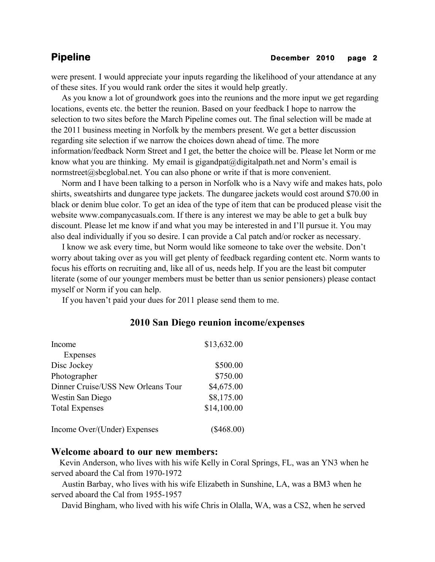were present. I would appreciate your inputs regarding the likelihood of your attendance at any of these sites. If you would rank order the sites it would help greatly.

 As you know a lot of groundwork goes into the reunions and the more input we get regarding locations, events etc. the better the reunion. Based on your feedback I hope to narrow the selection to two sites before the March Pipeline comes out. The final selection will be made at the 2011 business meeting in Norfolk by the members present. We get a better discussion regarding site selection if we narrow the choices down ahead of time. The more information/feedback Norm Street and I get, the better the choice will be. Please let Norm or me know what you are thinking. My email is gigandpat@digitalpath.net and Norm's email is normstreet@sbcglobal.net. You can also phone or write if that is more convenient.

 Norm and I have been talking to a person in Norfolk who is a Navy wife and makes hats, polo shirts, sweatshirts and dungaree type jackets. The dungaree jackets would cost around \$70.00 in black or denim blue color. To get an idea of the type of item that can be produced please visit the website www.companycasuals.com. If there is any interest we may be able to get a bulk buy discount. Please let me know if and what you may be interested in and I'll pursue it. You may also deal individually if you so desire. I can provide a Cal patch and/or rocker as necessary.

 I know we ask every time, but Norm would like someone to take over the website. Don't worry about taking over as you will get plenty of feedback regarding content etc. Norm wants to focus his efforts on recruiting and, like all of us, needs help. If you are the least bit computer literate (some of our younger members must be better than us senior pensioners) please contact myself or Norm if you can help.

If you haven't paid your dues for 2011 please send them to me.

| Income                             | \$13,632.00  |
|------------------------------------|--------------|
| <b>Expenses</b>                    |              |
| Disc Jockey                        | \$500.00     |
| Photographer                       | \$750.00     |
| Dinner Cruise/USS New Orleans Tour | \$4,675.00   |
| Westin San Diego                   | \$8,175.00   |
| <b>Total Expenses</b>              | \$14,100.00  |
| Income Over/(Under) Expenses       | $(\$468.00)$ |

## **2010 San Diego reunion income/expenses**

### **Welcome aboard to our new members:**

 Kevin Anderson, who lives with his wife Kelly in Coral Springs, FL, was an YN3 when he served aboard the Cal from 1970-1972

 Austin Barbay, who lives with his wife Elizabeth in Sunshine, LA, was a BM3 when he served aboard the Cal from 1955-1957

David Bingham, who lived with his wife Chris in Olalla, WA, was a CS2, when he served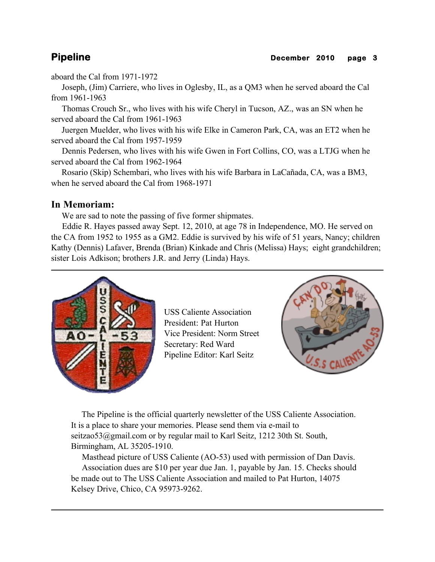aboard the Cal from 1971-1972

 Joseph, (Jim) Carriere, who lives in Oglesby, IL, as a QM3 when he served aboard the Cal from 1961-1963

 Thomas Crouch Sr., who lives with his wife Cheryl in Tucson, AZ., was an SN when he served aboard the Cal from 1961-1963

 Juergen Muelder, who lives with his wife Elke in Cameron Park, CA, was an ET2 when he served aboard the Cal from 1957-1959

 Dennis Pedersen, who lives with his wife Gwen in Fort Collins, CO, was a LTJG when he served aboard the Cal from 1962-1964

 Rosario (Skip) Schembari, who lives with his wife Barbara in LaCañada, CA, was a BM3, when he served aboard the Cal from 1968-1971

## **In Memoriam:**

We are sad to note the passing of five former shipmates.

 Eddie R. Hayes passed away Sept. 12, 2010, at age 78 in Independence, MO. He served on the CA from 1952 to 1955 as a GM2. Eddie is survived by his wife of 51 years, Nancy; children Kathy (Dennis) Lafaver, Brenda (Brian) Kinkade and Chris (Melissa) Hays; eight grandchildren; sister Lois Adkison; brothers J.R. and Jerry (Linda) Hays.



USS Caliente Association President: Pat Hurton Vice President: Norm Street Secretary: Red Ward Pipeline Editor: Karl Seitz



 The Pipeline is the official quarterly newsletter of the USS Caliente Association. It is a place to share your memories. Please send them via e-mail to seitzao53@gmail.com or by regular mail to Karl Seitz, 1212 30th St. South, Birmingham, AL 35205-1910.

 Masthead picture of USS Caliente (AO-53) used with permission of Dan Davis. Association dues are \$10 per year due Jan. 1, payable by Jan. 15. Checks should be made out to The USS Caliente Association and mailed to Pat Hurton, 14075 Kelsey Drive, Chico, CA 95973-9262.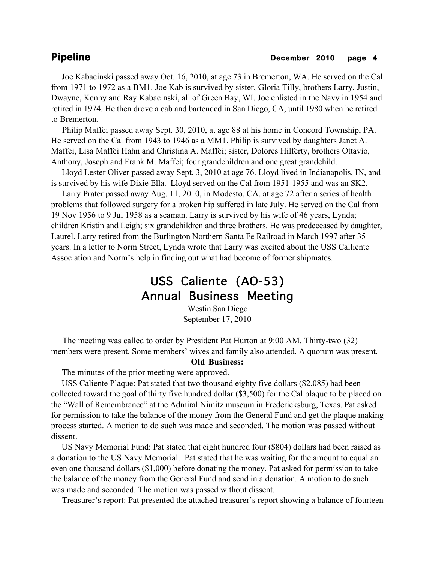Joe Kabacinski passed away Oct. 16, 2010, at age 73 in Bremerton, WA. He served on the Cal from 1971 to 1972 as a BM1. Joe Kab is survived by sister, Gloria Tilly, brothers Larry, Justin, Dwayne, Kenny and Ray Kabacinski, all of Green Bay, WI. Joe enlisted in the Navy in 1954 and retired in 1974. He then drove a cab and bartended in San Diego, CA, until 1980 when he retired to Bremerton.

 Philip Maffei passed away Sept. 30, 2010, at age 88 at his home in Concord Township, PA. He served on the Cal from 1943 to 1946 as a MM1. Philip is survived by daughters Janet A. Maffei, Lisa Maffei Hahn and Christina A. Maffei; sister, Dolores Hilferty, brothers Ottavio, Anthony, Joseph and Frank M. Maffei; four grandchildren and one great grandchild.

 Lloyd Lester Oliver passed away Sept. 3, 2010 at age 76. Lloyd lived in Indianapolis, IN, and is survived by his wife Dixie Ella. Lloyd served on the Cal from 1951-1955 and was an SK2.

 Larry Prater passed away Aug. 11, 2010, in Modesto, CA, at age 72 after a series of health problems that followed surgery for a broken hip suffered in late July. He served on the Cal from 19 Nov 1956 to 9 Jul 1958 as a seaman. Larry is survived by his wife of 46 years, Lynda; children Kristin and Leigh; six grandchildren and three brothers. He was predeceased by daughter, Laurel. Larry retired from the Burlington Northern Santa Fe Railroad in March 1997 after 35 years. In a letter to Norm Street, Lynda wrote that Larry was excited about the USS Calliente Association and Norm's help in finding out what had become of former shipmates.

# USS Caliente (AO-53) Annual Business Meeting

Westin San Diego September 17, 2010

 The meeting was called to order by President Pat Hurton at 9:00 AM. Thirty-two (32) members were present. Some members' wives and family also attended. A quorum was present.

### **Old Business:**

The minutes of the prior meeting were approved.

 USS Caliente Plaque: Pat stated that two thousand eighty five dollars (\$2,085) had been collected toward the goal of thirty five hundred dollar (\$3,500) for the Cal plaque to be placed on the "Wall of Remembrance" at the Admiral Nimitz museum in Fredericksburg, Texas. Pat asked for permission to take the balance of the money from the General Fund and get the plaque making process started. A motion to do such was made and seconded. The motion was passed without dissent.

 US Navy Memorial Fund: Pat stated that eight hundred four (\$804) dollars had been raised as a donation to the US Navy Memorial. Pat stated that he was waiting for the amount to equal an even one thousand dollars (\$1,000) before donating the money. Pat asked for permission to take the balance of the money from the General Fund and send in a donation. A motion to do such was made and seconded. The motion was passed without dissent.

Treasurer's report: Pat presented the attached treasurer's report showing a balance of fourteen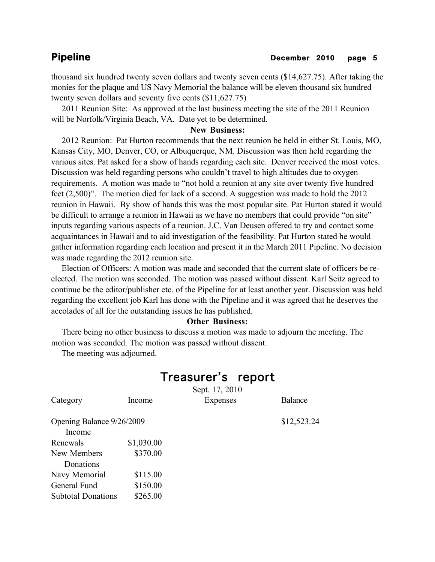thousand six hundred twenty seven dollars and twenty seven cents (\$14,627.75). After taking the monies for the plaque and US Navy Memorial the balance will be eleven thousand six hundred twenty seven dollars and seventy five cents (\$11,627.75)

 2011 Reunion Site: As approved at the last business meeting the site of the 2011 Reunion will be Norfolk/Virginia Beach, VA. Date yet to be determined.

## **New Business:**

 2012 Reunion: Pat Hurton recommends that the next reunion be held in either St. Louis, MO, Kansas City, MO, Denver, CO, or Albuquerque, NM. Discussion was then held regarding the various sites. Pat asked for a show of hands regarding each site. Denver received the most votes. Discussion was held regarding persons who couldn't travel to high altitudes due to oxygen requirements. A motion was made to "not hold a reunion at any site over twenty five hundred feet (2,500)". The motion died for lack of a second. A suggestion was made to hold the 2012 reunion in Hawaii. By show of hands this was the most popular site. Pat Hurton stated it would be difficult to arrange a reunion in Hawaii as we have no members that could provide "on site" inputs regarding various aspects of a reunion. J.C. Van Deusen offered to try and contact some acquaintances in Hawaii and to aid investigation of the feasibility. Pat Hurton stated he would gather information regarding each location and present it in the March 2011 Pipeline. No decision was made regarding the 2012 reunion site.

 Election of Officers: A motion was made and seconded that the current slate of officers be reelected. The motion was seconded. The motion was passed without dissent. Karl Seitz agreed to continue be the editor/publisher etc. of the Pipeline for at least another year. Discussion was held regarding the excellent job Karl has done with the Pipeline and it was agreed that he deserves the accolades of all for the outstanding issues he has published.

### **Other Business:**

 There being no other business to discuss a motion was made to adjourn the meeting. The motion was seconded. The motion was passed without dissent.

The meeting was adjourned.

## Treasurer's report

Sept. 17, 2010 Category Income Expenses Balance

 $$12,523.24$ 

| Opening Balance 9/26/2009 |            |  |
|---------------------------|------------|--|
| Income                    |            |  |
| Renewals                  | \$1,030.00 |  |
| New Members               | \$370.00   |  |
| Donations                 |            |  |
| Navy Memorial             | \$115.00   |  |
| General Fund              | \$150.00   |  |
| <b>Subtotal Donations</b> | \$265.00   |  |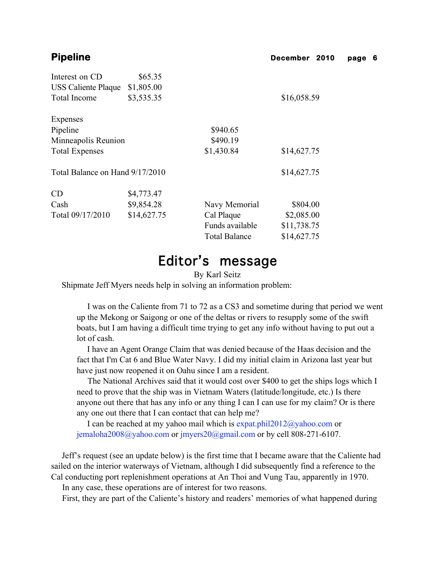| Interest on CD                  | \$65.35     |                      |             |
|---------------------------------|-------------|----------------------|-------------|
| <b>USS Caliente Plaque</b>      | \$1,805.00  |                      |             |
| <b>Total Income</b>             | \$3,535.35  |                      | \$16,058.59 |
| Expenses                        |             |                      |             |
| Pipeline                        |             | \$940.65             |             |
| Minneapolis Reunion             |             | \$490.19             |             |
| <b>Total Expenses</b>           |             | \$1,430.84           | \$14,627.75 |
| Total Balance on Hand 9/17/2010 |             |                      | \$14,627.75 |
| CD                              | \$4,773.47  |                      |             |
| Cash                            | \$9,854.28  | Navy Memorial        | \$804.00    |
| Total 09/17/2010                | \$14,627.75 | Cal Plaque           | \$2,085.00  |
|                                 |             | Funds available      | \$11,738.75 |
|                                 |             | <b>Total Balance</b> | \$14,627.75 |

# Editor's message

By Karl Seitz

Shipmate Jeff Myers needs help in solving an information problem:

 I was on the Caliente from 71 to 72 as a CS3 and sometime during that period we went up the Mekong or Saigong or one of the deltas or rivers to resupply some of the swift boats, but I am having a difficult time trying to get any info without having to put out a lot of cash.

 I have an Agent Orange Claim that was denied because of the Haas decision and the fact that I'm Cat 6 and Blue Water Navy. I did my initial claim in Arizona last year but have just now reopened it on Oahu since I am a resident.

 The National Archives said that it would cost over \$400 to get the ships logs which I need to prove that the ship was in Vietnam Waters (latitude/longitude, etc.) Is there anyone out there that has any info or any thing I can I can use for my claim? Or is there any one out there that I can contact that can help me?

 I can be reached at my yahoo mail which is expat.phil2012@yahoo.com or jemaloha2008@yahoo.com or jmyers20@gmail.com or by cell 808-271-6107.

 Jeff's request (see an update below) is the first time that I became aware that the Caliente had sailed on the interior waterways of Vietnam, although I did subsequently find a reference to the Cal conducting port replenishment operations at An Thoi and Vung Tau, apparently in 1970.

In any case, these operations are of interest for two reasons.

First, they are part of the Caliente's history and readers' memories of what happened during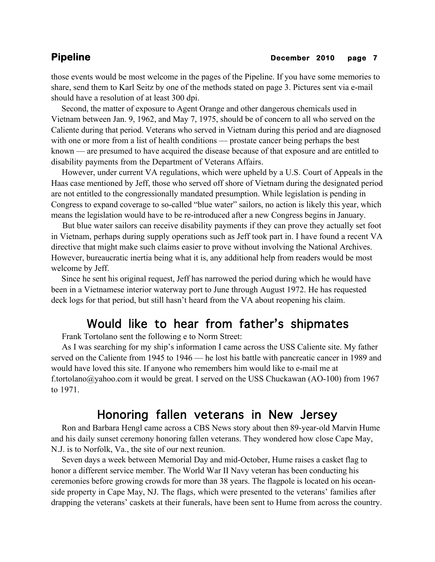## **Pipeline December 2010** page 7

those events would be most welcome in the pages of the Pipeline. If you have some memories to share, send them to Karl Seitz by one of the methods stated on page 3. Pictures sent via e-mail should have a resolution of at least 300 dpi.

 Second, the matter of exposure to Agent Orange and other dangerous chemicals used in Vietnam between Jan. 9, 1962, and May 7, 1975, should be of concern to all who served on the Caliente during that period. Veterans who served in Vietnam during this period and are diagnosed with one or more from a list of health conditions — prostate cancer being perhaps the best known — are presumed to have acquired the disease because of that exposure and are entitled to disability payments from the Department of Veterans Affairs.

 However, under current VA regulations, which were upheld by a U.S. Court of Appeals in the Haas case mentioned by Jeff, those who served off shore of Vietnam during the designated period are not entitled to the congressionally mandated presumption. While legislation is pending in Congress to expand coverage to so-called "blue water" sailors, no action is likely this year, which means the legislation would have to be re-introduced after a new Congress begins in January.

 But blue water sailors can receive disability payments if they can prove they actually set foot in Vietnam, perhaps during supply operations such as Jeff took part in. I have found a recent VA directive that might make such claims easier to prove without involving the National Archives. However, bureaucratic inertia being what it is, any additional help from readers would be most welcome by Jeff.

 Since he sent his original request, Jeff has narrowed the period during which he would have been in a Vietnamese interior waterway port to June through August 1972. He has requested deck logs for that period, but still hasn't heard from the VA about reopening his claim.

# Would like to hear from father's shipmates

Frank Tortolano sent the following e to Norm Street:

 As I was searching for my ship's information I came across the USS Caliente site. My father served on the Caliente from 1945 to 1946 — he lost his battle with pancreatic cancer in 1989 and would have loved this site. If anyone who remembers him would like to e-mail me at f.tortolano@yahoo.com it would be great. I served on the USS Chuckawan (AO-100) from 1967 to 1971.

## Honoring fallen veterans in New Jersey

Ron and Barbara Hengl came across a CBS News story about then 89-year-old Marvin Hume and his daily sunset ceremony honoring fallen veterans. They wondered how close Cape May, N.J. is to Norfolk, Va., the site of our next reunion.

 Seven days a week between Memorial Day and mid-October, Hume raises a casket flag to honor a different service member. The World War II Navy veteran has been conducting his ceremonies before growing crowds for more than 38 years. The flagpole is located on his oceanside property in Cape May, NJ. The flags, which were presented to the veterans' families after drapping the veterans' caskets at their funerals, have been sent to Hume from across the country.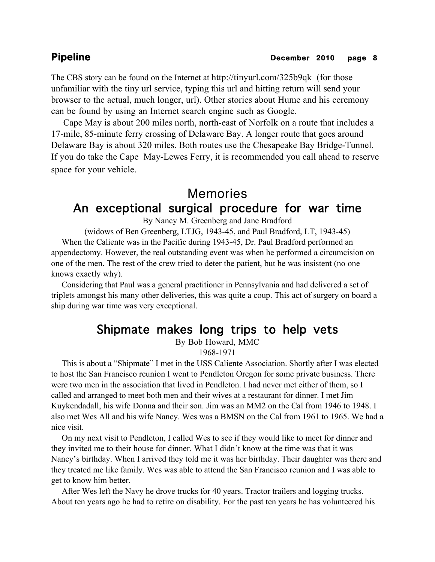The CBS story can be found on the Internet at http://tinyurl.com/325b9qk (for those unfamiliar with the tiny url service, typing this url and hitting return will send your browser to the actual, much longer, url). Other stories about Hume and his ceremony can be found by using an Internet search engine such as Google.

 Cape May is about 200 miles north, north-east of Norfolk on a route that includes a 17-mile, 85-minute ferry crossing of Delaware Bay. A longer route that goes around Delaware Bay is about 320 miles. Both routes use the Chesapeake Bay Bridge-Tunnel. If you do take the Cape May-Lewes Ferry, it is recommended you call ahead to reserve space for your vehicle.

# Memories An exceptional surgical procedure for war time

By Nancy M. Greenberg and Jane Bradford

(widows of Ben Greenberg, LTJG, 1943-45, and Paul Bradford, LT, 1943-45) When the Caliente was in the Pacific during 1943-45, Dr. Paul Bradford performed an appendectomy. However, the real outstanding event was when he performed a circumcision on one of the men. The rest of the crew tried to deter the patient, but he was insistent (no one knows exactly why).

 Considering that Paul was a general practitioner in Pennsylvania and had delivered a set of triplets amongst his many other deliveries, this was quite a coup. This act of surgery on board a ship during war time was very exceptional.

## Shipmate makes long trips to help vets

By Bob Howard, MMC

1968-1971

 This is about a "Shipmate" I met in the USS Caliente Association. Shortly after I was elected to host the San Francisco reunion I went to Pendleton Oregon for some private business. There were two men in the association that lived in Pendleton. I had never met either of them, so I called and arranged to meet both men and their wives at a restaurant for dinner. I met Jim Kuykendadall, his wife Donna and their son. Jim was an MM2 on the Cal from 1946 to 1948. I also met Wes All and his wife Nancy. Wes was a BMSN on the Cal from 1961 to 1965. We had a nice visit.

 On my next visit to Pendleton, I called Wes to see if they would like to meet for dinner and they invited me to their house for dinner. What I didn't know at the time was that it was Nancy's birthday. When I arrived they told me it was her birthday. Their daughter was there and they treated me like family. Wes was able to attend the San Francisco reunion and I was able to get to know him better.

 After Wes left the Navy he drove trucks for 40 years. Tractor trailers and logging trucks. About ten years ago he had to retire on disability. For the past ten years he has volunteered his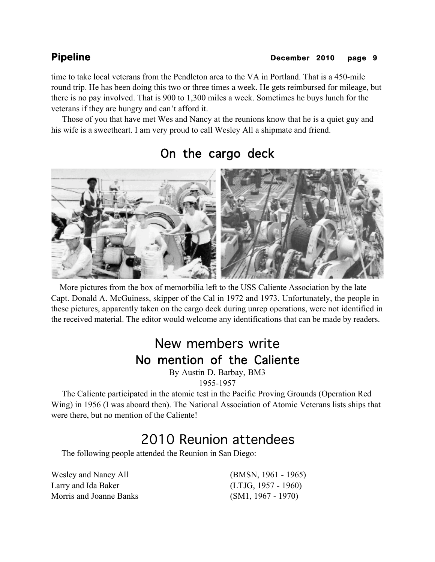## **Pipeline December 2010** page 9

time to take local veterans from the Pendleton area to the VA in Portland. That is a 450-mile round trip. He has been doing this two or three times a week. He gets reimbursed for mileage, but there is no pay involved. That is 900 to 1,300 miles a week. Sometimes he buys lunch for the veterans if they are hungry and can't afford it.

 Those of you that have met Wes and Nancy at the reunions know that he is a quiet guy and his wife is a sweetheart. I am very proud to call Wesley All a shipmate and friend.



# On the cargo deck

 More pictures from the box of memorbilia left to the USS Caliente Association by the late Capt. Donald A. McGuiness, skipper of the Cal in 1972 and 1973. Unfortunately, the people in these pictures, apparently taken on the cargo deck during unrep operations, were not identified in the received material. The editor would welcome any identifications that can be made by readers.

# New members write No mention of the Caliente

By Austin D. Barbay, BM3 1955-1957

 The Caliente participated in the atomic test in the Pacific Proving Grounds (Operation Red Wing) in 1956 (I was aboard then). The National Association of Atomic Veterans lists ships that were there, but no mention of the Caliente!

# 2010 Reunion attendees

The following people attended the Reunion in San Diego:

Wesley and Nancy All (BMSN, 1961 - 1965) Larry and Ida Baker (LTJG, 1957 - 1960) Morris and Joanne Banks (SM1, 1967 - 1970)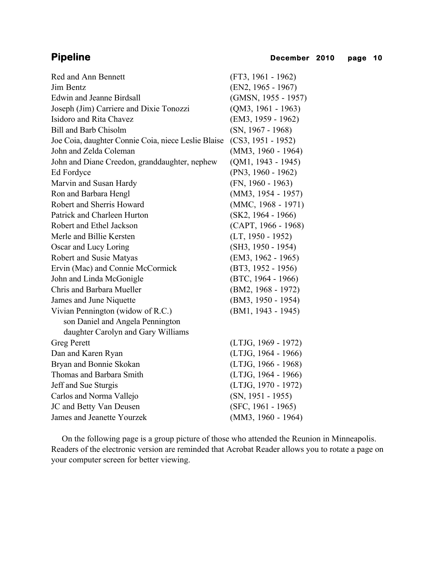| Red and Ann Bennett                                 | $(FT3, 1961 - 1962)$  |
|-----------------------------------------------------|-----------------------|
| Jim Bentz                                           | $(EN2, 1965 - 1967)$  |
| <b>Edwin and Jeanne Birdsall</b>                    | (GMSN, 1955 - 1957)   |
| Joseph (Jim) Carriere and Dixie Tonozzi             | $(QM3, 1961 - 1963)$  |
| Isidoro and Rita Chavez                             | (EM3, 1959 - 1962)    |
| <b>Bill and Barb Chisolm</b>                        | $(SN, 1967 - 1968)$   |
| Joe Coia, daughter Connie Coia, niece Leslie Blaise | $(CS3, 1951 - 1952)$  |
| John and Zelda Coleman                              | $(MM3, 1960 - 1964)$  |
| John and Diane Creedon, granddaughter, nephew       | $(QM1, 1943 - 1945)$  |
| Ed Fordyce                                          | $(PN3, 1960 - 1962)$  |
| Marvin and Susan Hardy                              | $(FN, 1960 - 1963)$   |
| Ron and Barbara Hengl                               | $(MM3, 1954 - 1957)$  |
| Robert and Sherris Howard                           | (MMC, 1968 - 1971)    |
| Patrick and Charleen Hurton                         | $(SK2, 1964 - 1966)$  |
| Robert and Ethel Jackson                            | $(CAPT, 1966 - 1968)$ |
| Merle and Billie Kersten                            | $(LT, 1950 - 1952)$   |
| Oscar and Lucy Loring                               | $(SH3, 1950 - 1954)$  |
| Robert and Susie Matyas                             | (EM3, 1962 - 1965)    |
| Ervin (Mac) and Connie McCormick                    | $(BT3, 1952 - 1956)$  |
| John and Linda McGonigle                            | $(BTC, 1964 - 1966)$  |
| Chris and Barbara Mueller                           | $(BM2, 1968 - 1972)$  |
| James and June Niquette                             | (BM3, 1950 - 1954)    |
| Vivian Pennington (widow of R.C.)                   | (BM1, 1943 - 1945)    |
| son Daniel and Angela Pennington                    |                       |
| daughter Carolyn and Gary Williams                  |                       |
| <b>Greg Perett</b>                                  | (LTJG, 1969 - 1972)   |
| Dan and Karen Ryan                                  | (LTJG, 1964 - 1966)   |
| Bryan and Bonnie Skokan                             | $(LTJG, 1966 - 1968)$ |
| Thomas and Barbara Smith                            | (LTJG, 1964 - 1966)   |
| Jeff and Sue Sturgis                                | (LTJG, 1970 - 1972)   |
| Carlos and Norma Vallejo                            | $(SN, 1951 - 1955)$   |
| JC and Betty Van Deusen                             | $(SFC, 1961 - 1965)$  |
| James and Jeanette Yourzek                          | $(MM3, 1960 - 1964)$  |

 On the following page is a group picture of those who attended the Reunion in Minneapolis. Readers of the electronic version are reminded that Acrobat Reader allows you to rotate a page on your computer screen for better viewing.